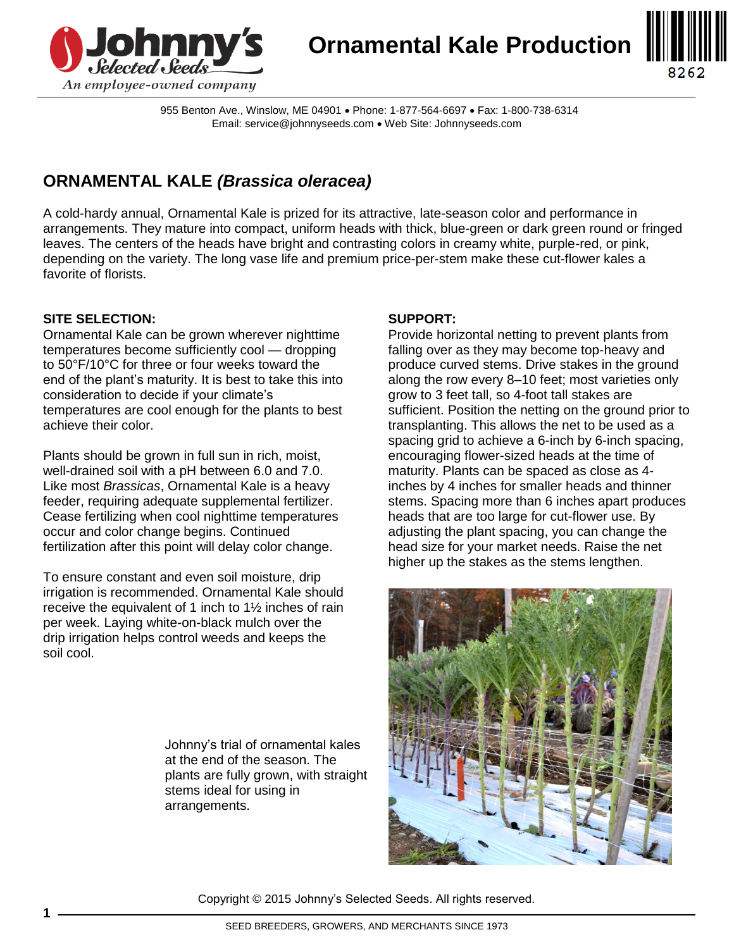



955 Benton Ave., Winslow, ME 04901 . Phone: 1-877-564-6697 . Fax: 1-800-738-6314 Email: service@johnnyseeds.com Web Site: Johnnyseeds.com

# **ORNAMENTAL KALE** *(Brassica oleracea)*

A cold-hardy annual, Ornamental Kale is prized for its attractive, late-season color and performance in arrangements. They mature into compact, uniform heads with thick, blue-green or dark green round or fringed leaves. The centers of the heads have bright and contrasting colors in creamy white, purple-red, or pink, depending on the variety. The long vase life and premium price-per-stem make these cut-flower kales a favorite of florists.

# **SITE SELECTION:**

Ornamental Kale can be grown wherever nighttime temperatures become sufficiently cool — dropping to 50°F/10°C for three or four weeks toward the end of the plant's maturity. It is best to take this into consideration to decide if your climate's temperatures are cool enough for the plants to best achieve their color.

Plants should be grown in full sun in rich, moist, well-drained soil with a pH between 6.0 and 7.0. Like most *Brassicas*, Ornamental Kale is a heavy feeder, requiring adequate supplemental fertilizer. Cease fertilizing when cool nighttime temperatures occur and color change begins. Continued fertilization after this point will delay color change.

To ensure constant and even soil moisture, drip irrigation is recommended. Ornamental Kale should receive the equivalent of 1 inch to 1½ inches of rain per week. Laying white-on-black mulch over the drip irrigation helps control weeds and keeps the soil cool.

> Johnny's trial of ornamental kales at the end of the season. The plants are fully grown, with straight stems ideal for using in arrangements.

### **SUPPORT:**

Provide horizontal netting to prevent plants from falling over as they may become top-heavy and produce curved stems. Drive stakes in the ground along the row every 8–10 feet; most varieties only grow to 3 feet tall, so 4-foot tall stakes are sufficient. Position the netting on the ground prior to transplanting. This allows the net to be used as a spacing grid to achieve a 6-inch by 6-inch spacing, encouraging flower-sized heads at the time of maturity. Plants can be spaced as close as 4 inches by 4 inches for smaller heads and thinner stems. Spacing more than 6 inches apart produces heads that are too large for cut-flower use. By adjusting the plant spacing, you can change the head size for your market needs. Raise the net higher up the stakes as the stems lengthen.



Copyright © 2015 Johnny's Selected Seeds. All rights reserved.